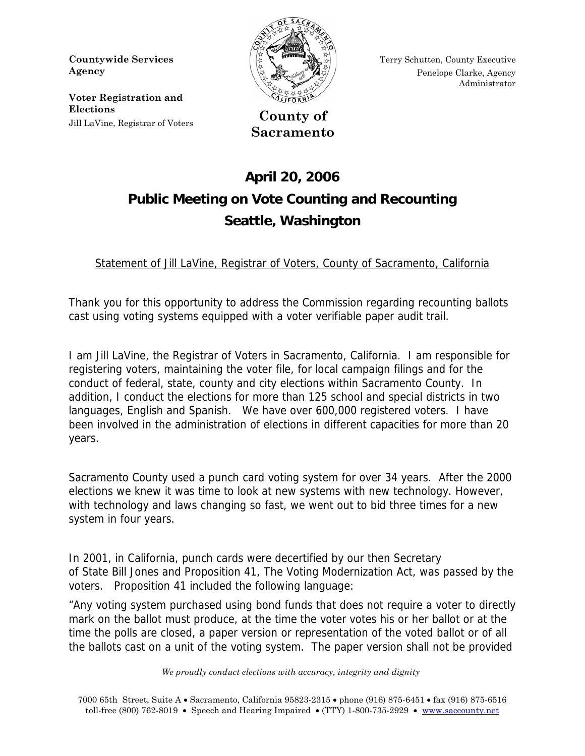**Countywide Services Agency** 

**Voter Registration and Elections**  Jill LaVine, Registrar of Voters **County of** 



Terry Schutten, County Executive Penelope Clarke, Agency Administrator

**Sacramento** 

## **April 20, 2006 Public Meeting on Vote Counting and Recounting Seattle, Washington**

Statement of Jill LaVine, Registrar of Voters, County of Sacramento, California

Thank you for this opportunity to address the Commission regarding recounting ballots cast using voting systems equipped with a voter verifiable paper audit trail.

I am Jill LaVine, the Registrar of Voters in Sacramento, California. I am responsible for registering voters, maintaining the voter file, for local campaign filings and for the conduct of federal, state, county and city elections within Sacramento County. In addition, I conduct the elections for more than 125 school and special districts in two languages, English and Spanish. We have over 600,000 registered voters. I have been involved in the administration of elections in different capacities for more than 20 years.

Sacramento County used a punch card voting system for over 34 years. After the 2000 elections we knew it was time to look at new systems with new technology. However, with technology and laws changing so fast, we went out to bid three times for a new system in four years.

In 2001, in California, punch cards were decertified by our then Secretary of State Bill Jones and Proposition 41, The Voting Modernization Act, was passed by the voters. Proposition 41 included the following language:

"Any voting system purchased using bond funds that does not require a voter to directly mark on the ballot must produce, at the time the voter votes his or her ballot or at the time the polls are closed, a paper version or representation of the voted ballot or of all the ballots cast on a unit of the voting system. The paper version shall not be provided

 *We proudly conduct elections with accuracy, integrity and dignity*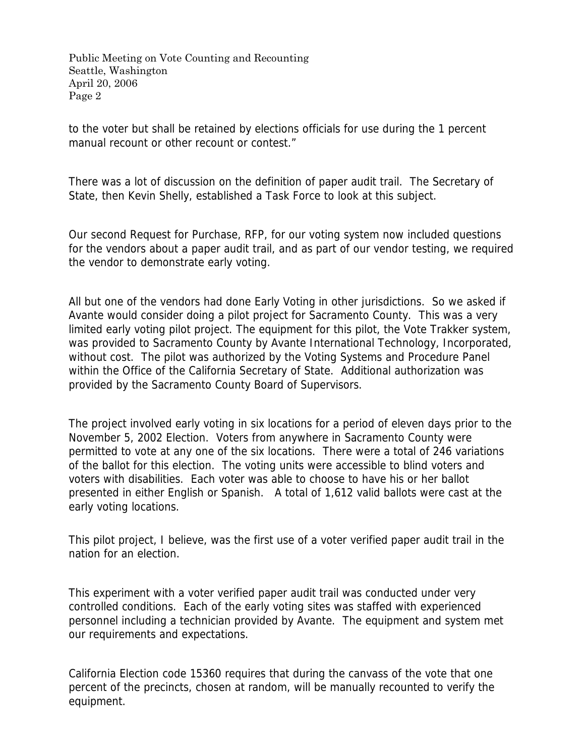Public Meeting on Vote Counting and Recounting Seattle, Washington April 20, 2006 Page 2

to the voter but shall be retained by elections officials for use during the 1 percent manual recount or other recount or contest."

There was a lot of discussion on the definition of paper audit trail. The Secretary of State, then Kevin Shelly, established a Task Force to look at this subject.

Our second Request for Purchase, RFP, for our voting system now included questions for the vendors about a paper audit trail, and as part of our vendor testing, we required the vendor to demonstrate early voting.

All but one of the vendors had done Early Voting in other jurisdictions. So we asked if Avante would consider doing a pilot project for Sacramento County. This was a very limited early voting pilot project. The equipment for this pilot, the Vote Trakker system, was provided to Sacramento County by Avante International Technology, Incorporated, without cost. The pilot was authorized by the Voting Systems and Procedure Panel within the Office of the California Secretary of State. Additional authorization was provided by the Sacramento County Board of Supervisors.

The project involved early voting in six locations for a period of eleven days prior to the November 5, 2002 Election. Voters from anywhere in Sacramento County were permitted to vote at any one of the six locations. There were a total of 246 variations of the ballot for this election. The voting units were accessible to blind voters and voters with disabilities. Each voter was able to choose to have his or her ballot presented in either English or Spanish. A total of 1,612 valid ballots were cast at the early voting locations.

This pilot project, I believe, was the first use of a voter verified paper audit trail in the nation for an election.

This experiment with a voter verified paper audit trail was conducted under very controlled conditions. Each of the early voting sites was staffed with experienced personnel including a technician provided by Avante. The equipment and system met our requirements and expectations.

California Election code 15360 requires that during the canvass of the vote that one percent of the precincts, chosen at random, will be manually recounted to verify the equipment.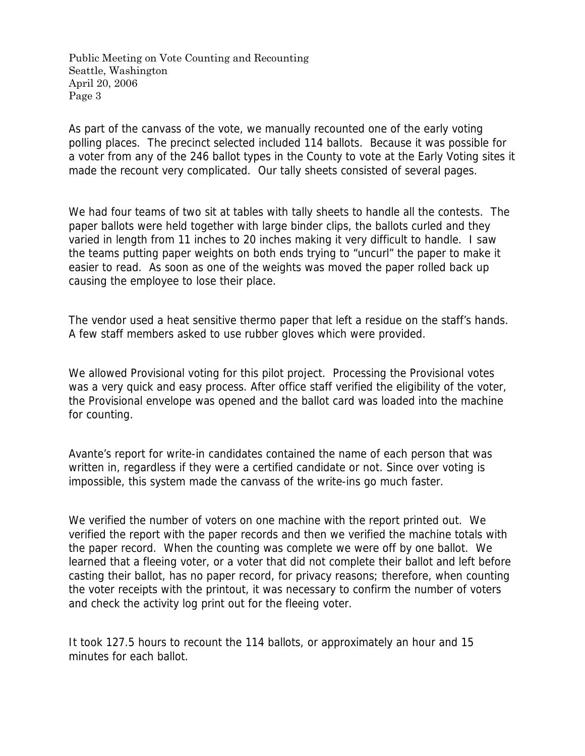Public Meeting on Vote Counting and Recounting Seattle, Washington April 20, 2006 Page 3

As part of the canvass of the vote, we manually recounted one of the early voting polling places. The precinct selected included 114 ballots. Because it was possible for a voter from any of the 246 ballot types in the County to vote at the Early Voting sites it made the recount very complicated. Our tally sheets consisted of several pages.

We had four teams of two sit at tables with tally sheets to handle all the contests. The paper ballots were held together with large binder clips, the ballots curled and they varied in length from 11 inches to 20 inches making it very difficult to handle. I saw the teams putting paper weights on both ends trying to "uncurl" the paper to make it easier to read. As soon as one of the weights was moved the paper rolled back up causing the employee to lose their place.

The vendor used a heat sensitive thermo paper that left a residue on the staff's hands. A few staff members asked to use rubber gloves which were provided.

We allowed Provisional voting for this pilot project. Processing the Provisional votes was a very quick and easy process. After office staff verified the eligibility of the voter, the Provisional envelope was opened and the ballot card was loaded into the machine for counting.

Avante's report for write-in candidates contained the name of each person that was written in, regardless if they were a certified candidate or not. Since over voting is impossible, this system made the canvass of the write-ins go much faster.

We verified the number of voters on one machine with the report printed out. We verified the report with the paper records and then we verified the machine totals with the paper record. When the counting was complete we were off by one ballot. We learned that a fleeing voter, or a voter that did not complete their ballot and left before casting their ballot, has no paper record, for privacy reasons; therefore, when counting the voter receipts with the printout, it was necessary to confirm the number of voters and check the activity log print out for the fleeing voter.

It took 127.5 hours to recount the 114 ballots, or approximately an hour and 15 minutes for each ballot.